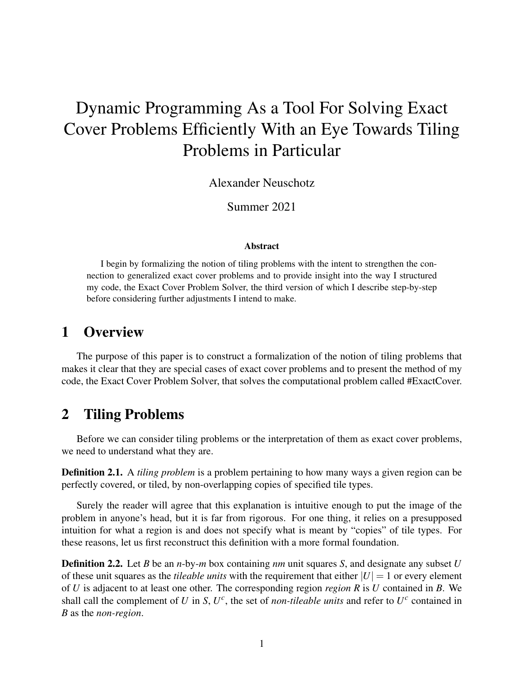# Dynamic Programming As a Tool For Solving Exact Cover Problems Efficiently With an Eye Towards Tiling Problems in Particular

Alexander Neuschotz

Summer 2021

#### Abstract

I begin by formalizing the notion of tiling problems with the intent to strengthen the connection to generalized exact cover problems and to provide insight into the way I structured my code, the Exact Cover Problem Solver, the third version of which I describe step-by-step before considering further adjustments I intend to make.

#### 1 Overview

The purpose of this paper is to construct a formalization of the notion of tiling problems that makes it clear that they are special cases of exact cover problems and to present the method of my code, the Exact Cover Problem Solver, that solves the computational problem called #ExactCover.

# 2 Tiling Problems

Before we can consider tiling problems or the interpretation of them as exact cover problems, we need to understand what they are.

Definition 2.1. A *tiling problem* is a problem pertaining to how many ways a given region can be perfectly covered, or tiled, by non-overlapping copies of specified tile types.

Surely the reader will agree that this explanation is intuitive enough to put the image of the problem in anyone's head, but it is far from rigorous. For one thing, it relies on a presupposed intuition for what a region is and does not specify what is meant by "copies" of tile types. For these reasons, let us first reconstruct this definition with a more formal foundation.

Definition 2.2. Let *B* be an *n*-by-*m* box containing *nm* unit squares *S*, and designate any subset *U* of these unit squares as the *tileable units* with the requirement that either  $|U| = 1$  or every element of *U* is adjacent to at least one other. The corresponding region *region R* is *U* contained in *B*. We shall call the complement of *U* in *S*,  $U^c$ , the set of *non-tileable units* and refer to  $U^c$  contained in *B* as the *non-region*.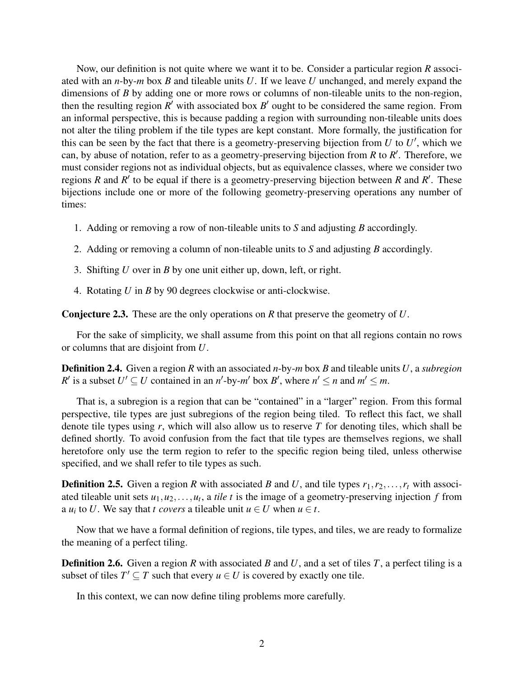Now, our definition is not quite where we want it to be. Consider a particular region *R* associated with an *n*-by-*m* box *B* and tileable units *U*. If we leave *U* unchanged, and merely expand the dimensions of *B* by adding one or more rows or columns of non-tileable units to the non-region, then the resulting region  $R'$  with associated box  $B'$  ought to be considered the same region. From an informal perspective, this is because padding a region with surrounding non-tileable units does not alter the tiling problem if the tile types are kept constant. More formally, the justification for this can be seen by the fact that there is a geometry-preserving bijection from  $U$  to  $U'$ , which we can, by abuse of notation, refer to as a geometry-preserving bijection from  $R$  to  $R'$ . Therefore, we must consider regions not as individual objects, but as equivalence classes, where we consider two regions *R* and *R'* to be equal if there is a geometry-preserving bijection between *R* and *R'*. These bijections include one or more of the following geometry-preserving operations any number of times:

- 1. Adding or removing a row of non-tileable units to *S* and adjusting *B* accordingly.
- 2. Adding or removing a column of non-tileable units to *S* and adjusting *B* accordingly.
- 3. Shifting *U* over in *B* by one unit either up, down, left, or right.
- 4. Rotating *U* in *B* by 90 degrees clockwise or anti-clockwise.

Conjecture 2.3. These are the only operations on *R* that preserve the geometry of *U*.

For the sake of simplicity, we shall assume from this point on that all regions contain no rows or columns that are disjoint from *U*.

Definition 2.4. Given a region *R* with an associated *n*-by-*m* box *B* and tileable units *U*, a *subregion R*<sup>*'*</sup> is a subset  $U' \subseteq U$  contained in an *n*<sup>*'*</sup>-by-*m'* box *B'*, where  $n' \le n$  and  $m' \le m$ .

That is, a subregion is a region that can be "contained" in a "larger" region. From this formal perspective, tile types are just subregions of the region being tiled. To reflect this fact, we shall denote tile types using *r*, which will also allow us to reserve *T* for denoting tiles, which shall be defined shortly. To avoid confusion from the fact that tile types are themselves regions, we shall heretofore only use the term region to refer to the specific region being tiled, unless otherwise specified, and we shall refer to tile types as such.

**Definition 2.5.** Given a region *R* with associated *B* and *U*, and tile types  $r_1, r_2, \ldots, r_t$  with associated tileable unit sets  $u_1, u_2, \ldots, u_t$ , a *tile t* is the image of a geometry-preserving injection *f* from a  $u_i$  to *U*. We say that *t covers* a tileable unit  $u \in U$  when  $u \in t$ .

Now that we have a formal definition of regions, tile types, and tiles, we are ready to formalize the meaning of a perfect tiling.

Definition 2.6. Given a region *R* with associated *B* and *U*, and a set of tiles *T*, a perfect tiling is a subset of tiles  $T' \subseteq T$  such that every  $u \in U$  is covered by exactly one tile.

In this context, we can now define tiling problems more carefully.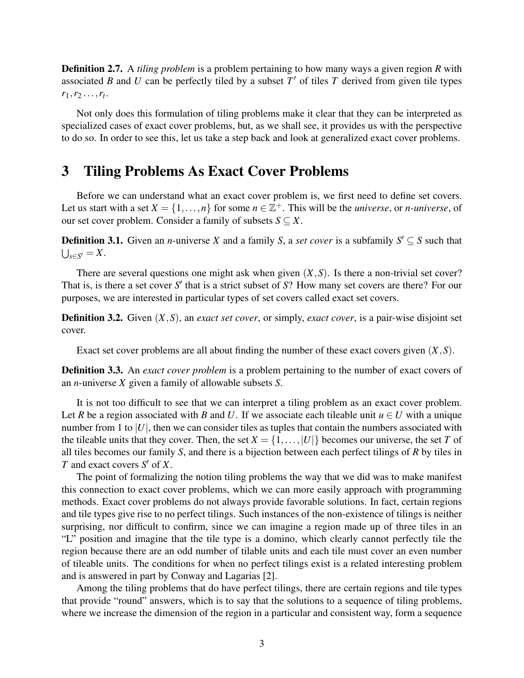Definition 2.7. A *tiling problem* is a problem pertaining to how many ways a given region *R* with associated *B* and *U* can be perfectly tiled by a subset  $T'$  of tiles  $T$  derived from given tile types  $r_1, r_2, \ldots, r_t.$ 

Not only does this formulation of tiling problems make it clear that they can be interpreted as specialized cases of exact cover problems, but, as we shall see, it provides us with the perspective to do so. In order to see this, let us take a step back and look at generalized exact cover problems.

#### 3 Tiling Problems As Exact Cover Problems

Before we can understand what an exact cover problem is, we first need to define set covers. Let us start with a set  $X = \{1, ..., n\}$  for some  $n \in \mathbb{Z}^+$ . This will be the *universe*, or *n-universe*, of our set cover problem. Consider a family of subsets  $S \subseteq X$ .

**Definition 3.1.** Given an *n*-universe *X* and a family *S*, a *set cover* is a subfamily  $S' \subseteq S$  such that  $\bigcup_{s\in S'}=X.$ 

There are several questions one might ask when given  $(X, S)$ . Is there a non-trivial set cover? That is, is there a set cover S' that is a strict subset of S? How many set covers are there? For our purposes, we are interested in particular types of set covers called exact set covers.

Definition 3.2. Given (*X*,*S*), an *exact set cover*, or simply, *exact cover*, is a pair-wise disjoint set cover.

Exact set cover problems are all about finding the number of these exact covers given (*X*,*S*).

Definition 3.3. An *exact cover problem* is a problem pertaining to the number of exact covers of an *n*-universe *X* given a family of allowable subsets *S*.

It is not too difficult to see that we can interpret a tiling problem as an exact cover problem. Let *R* be a region associated with *B* and *U*. If we associate each tileable unit  $u \in U$  with a unique number from 1 to  $|U|$ , then we can consider tiles as tuples that contain the numbers associated with the tileable units that they cover. Then, the set  $X = \{1, \ldots, |U|\}$  becomes our universe, the set *T* of all tiles becomes our family *S*, and there is a bijection between each perfect tilings of *R* by tiles in *T* and exact covers  $S'$  of  $X$ .

The point of formalizing the notion tiling problems the way that we did was to make manifest this connection to exact cover problems, which we can more easily approach with programming methods. Exact cover problems do not always provide favorable solutions. In fact, certain regions and tile types give rise to no perfect tilings. Such instances of the non-existence of tilings is neither surprising, nor difficult to confirm, since we can imagine a region made up of three tiles in an "L" position and imagine that the tile type is a domino, which clearly cannot perfectly tile the region because there are an odd number of tilable units and each tile must cover an even number of tileable units. The conditions for when no perfect tilings exist is a related interesting problem and is answered in part by Conway and Lagarias [2].

Among the tiling problems that do have perfect tilings, there are certain regions and tile types that provide "round" answers, which is to say that the solutions to a sequence of tiling problems, where we increase the dimension of the region in a particular and consistent way, form a sequence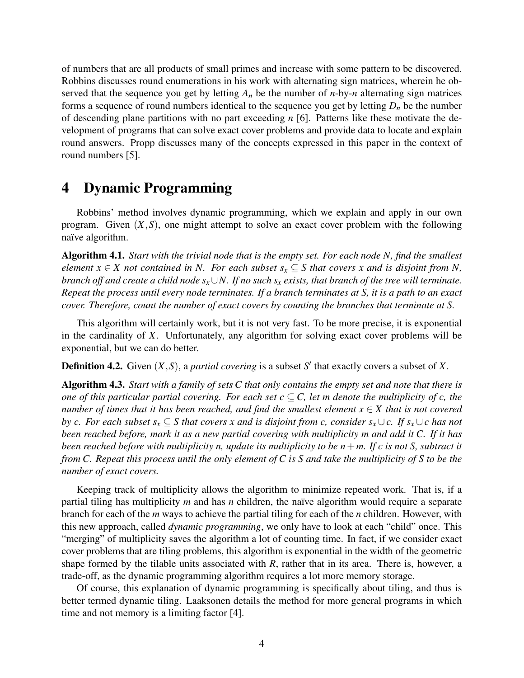of numbers that are all products of small primes and increase with some pattern to be discovered. Robbins discusses round enumerations in his work with alternating sign matrices, wherein he observed that the sequence you get by letting  $A_n$  be the number of *n*-by-*n* alternating sign matrices forms a sequence of round numbers identical to the sequence you get by letting  $D_n$  be the number of descending plane partitions with no part exceeding *n* [6]. Patterns like these motivate the development of programs that can solve exact cover problems and provide data to locate and explain round answers. Propp discusses many of the concepts expressed in this paper in the context of round numbers [5].

#### 4 Dynamic Programming

Robbins' method involves dynamic programming, which we explain and apply in our own program. Given  $(X, S)$ , one might attempt to solve an exact cover problem with the following naïve algorithm.

Algorithm 4.1. *Start with the trivial node that is the empty set. For each node N, find the smallest element*  $x \in X$  *not contained in N. For each subset*  $s_x \subseteq S$  *that covers* x *and is disjoint from N, branch off and create a child node sx*∪*N. If no such s<sup>x</sup> exists, that branch of the tree will terminate. Repeat the process until every node terminates. If a branch terminates at S, it is a path to an exact cover. Therefore, count the number of exact covers by counting the branches that terminate at S.*

This algorithm will certainly work, but it is not very fast. To be more precise, it is exponential in the cardinality of *X*. Unfortunately, any algorithm for solving exact cover problems will be exponential, but we can do better.

**Definition 4.2.** Given  $(X, S)$ , a *partial covering* is a subset S' that exactly covers a subset of X.

Algorithm 4.3. *Start with a family of sets C that only contains the empty set and note that there is one of this particular partial covering. For each set*  $c \subset C$ *, let m denote the multiplicity of c, the number of times that it has been reached, and find the smallest element x* ∈ *X that is not covered by c. For each subset*  $s_x \subseteq S$  *that covers x and is disjoint from c, consider*  $s_x \cup c$ . If  $s_x \cup c$  has not *been reached before, mark it as a new partial covering with multiplicity m and add it C. If it has been reached before with multiplicity n, update its multiplicity to be*  $n+m$ *. If c is not S, subtract it from C. Repeat this process until the only element of C is S and take the multiplicity of S to be the number of exact covers.*

Keeping track of multiplicity allows the algorithm to minimize repeated work. That is, if a partial tiling has multiplicity  $m$  and has  $n$  children, the naïve algorithm would require a separate branch for each of the *m* ways to achieve the partial tiling for each of the *n* children. However, with this new approach, called *dynamic programming*, we only have to look at each "child" once. This "merging" of multiplicity saves the algorithm a lot of counting time. In fact, if we consider exact cover problems that are tiling problems, this algorithm is exponential in the width of the geometric shape formed by the tilable units associated with *R*, rather that in its area. There is, however, a trade-off, as the dynamic programming algorithm requires a lot more memory storage.

Of course, this explanation of dynamic programming is specifically about tiling, and thus is better termed dynamic tiling. Laaksonen details the method for more general programs in which time and not memory is a limiting factor [4].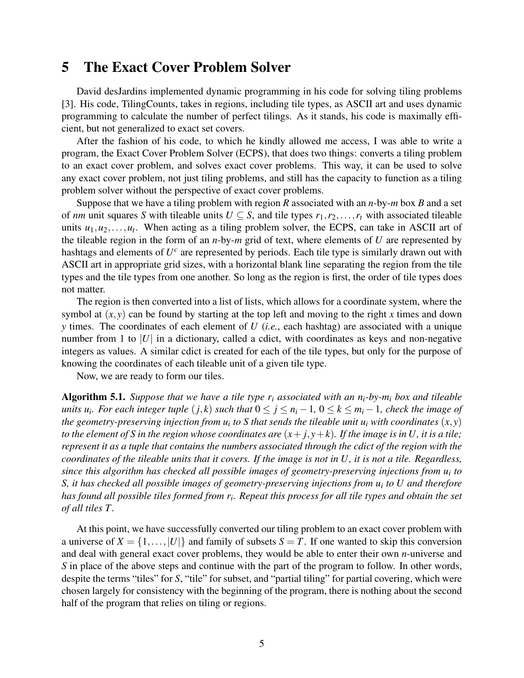### 5 The Exact Cover Problem Solver

David desJardins implemented dynamic programming in his code for solving tiling problems [3]. His code, TilingCounts, takes in regions, including tile types, as ASCII art and uses dynamic programming to calculate the number of perfect tilings. As it stands, his code is maximally efficient, but not generalized to exact set covers.

After the fashion of his code, to which he kindly allowed me access, I was able to write a program, the Exact Cover Problem Solver (ECPS), that does two things: converts a tiling problem to an exact cover problem, and solves exact cover problems. This way, it can be used to solve any exact cover problem, not just tiling problems, and still has the capacity to function as a tiling problem solver without the perspective of exact cover problems.

Suppose that we have a tiling problem with region *R* associated with an *n*-by-*m* box *B* and a set of *nm* unit squares *S* with tileable units  $U \subseteq S$ , and tile types  $r_1, r_2, \ldots, r_t$  with associated tileable units  $u_1, u_2, \ldots, u_t$ . When acting as a tiling problem solver, the ECPS, can take in ASCII art of the tileable region in the form of an *n*-by-*m* grid of text, where elements of *U* are represented by hashtags and elements of *U c* are represented by periods. Each tile type is similarly drawn out with ASCII art in appropriate grid sizes, with a horizontal blank line separating the region from the tile types and the tile types from one another. So long as the region is first, the order of tile types does not matter.

The region is then converted into a list of lists, which allows for a coordinate system, where the symbol at  $(x, y)$  can be found by starting at the top left and moving to the right x times and down *y* times. The coordinates of each element of *U* (*i.e.*, each hashtag) are associated with a unique number from 1 to  $|U|$  in a dictionary, called a cdict, with coordinates as keys and non-negative integers as values. A similar cdict is created for each of the tile types, but only for the purpose of knowing the coordinates of each tileable unit of a given tile type.

Now, we are ready to form our tiles.

Algorithm 5.1. *Suppose that we have a tile type r<sup>i</sup> associated with an ni-by-m<sup>i</sup> box and tileable units*  $u_i$ *. For each integer tuple*  $(j, k)$  *such that*  $0 \leq j \leq n_i - 1$ ,  $0 \leq k \leq m_i - 1$ *, check the image of the geometry-preserving injection from u<sup>i</sup> to S that sends the tileable unit u<sup>i</sup> with coordinates* (*x*, *y*) *to the element of S in the region whose coordinates are*  $(x + j, y + k)$ *. If the image is in U, it is a tile; represent it as a tuple that contains the numbers associated through the cdict of the region with the coordinates of the tileable units that it covers. If the image is not in U, it is not a tile. Regardless, since this algorithm has checked all possible images of geometry-preserving injections from u<sup>i</sup> to S, it has checked all possible images of geometry-preserving injections from u<sup>i</sup> to U and therefore has found all possible tiles formed from r<sup>i</sup> . Repeat this process for all tile types and obtain the set of all tiles T .*

At this point, we have successfully converted our tiling problem to an exact cover problem with a universe of  $X = \{1, ..., |U|\}$  and family of subsets  $S = T$ . If one wanted to skip this conversion and deal with general exact cover problems, they would be able to enter their own *n*-universe and *S* in place of the above steps and continue with the part of the program to follow. In other words, despite the terms "tiles" for *S*, "tile" for subset, and "partial tiling" for partial covering, which were chosen largely for consistency with the beginning of the program, there is nothing about the second half of the program that relies on tiling or regions.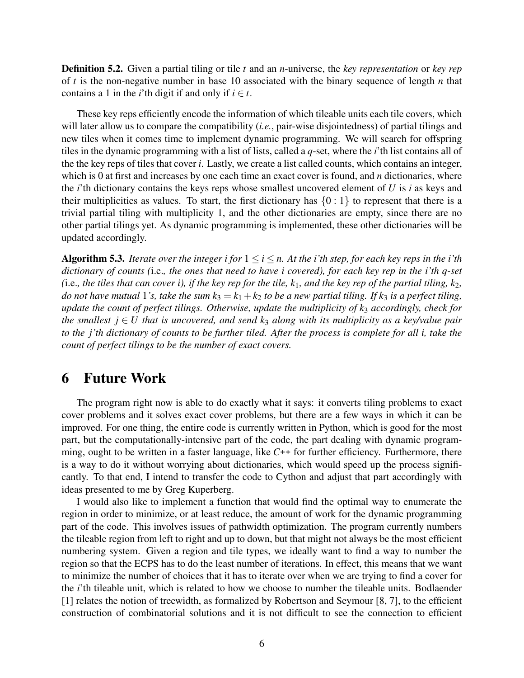Definition 5.2. Given a partial tiling or tile *t* and an *n*-universe, the *key representation* or *key rep* of *t* is the non-negative number in base 10 associated with the binary sequence of length *n* that contains a 1 in the *i*'th digit if and only if  $i \in t$ .

These key reps efficiently encode the information of which tileable units each tile covers, which will later allow us to compare the compatibility (*i.e.*, pair-wise disjointedness) of partial tilings and new tiles when it comes time to implement dynamic programming. We will search for offspring tiles in the dynamic programming with a list of lists, called a *q*-set, where the *i*'th list contains all of the the key reps of tiles that cover *i*. Lastly, we create a list called counts, which contains an integer, which is 0 at first and increases by one each time an exact cover is found, and *n* dictionaries, where the *i*'th dictionary contains the keys reps whose smallest uncovered element of *U* is *i* as keys and their multiplicities as values. To start, the first dictionary has  $\{0:1\}$  to represent that there is a trivial partial tiling with multiplicity 1, and the other dictionaries are empty, since there are no other partial tilings yet. As dynamic programming is implemented, these other dictionaries will be updated accordingly.

**Algorithm 5.3.** *Iterate over the integer i for*  $1 \le i \le n$ *. At the i'th step, for each key reps in the i'th dictionary of counts (*i.e.*, the ones that need to have i covered), for each key rep in the i'th q-set* (i.e., the tiles that can cover i), if the key rep for the tile,  $k_1$ , and the key rep of the partial tiling,  $k_2$ , *do not have mutual* 1's, take the sum  $k_3 = k_1 + k_2$  to be a new partial tiling. If  $k_3$  is a perfect tiling, *update the count of perfect tilings. Otherwise, update the multiplicity of k*<sup>3</sup> *accordingly, check for the smallest*  $j \in U$  *that is uncovered, and send k<sub>3</sub> along with its multiplicity as a key/value pair to the j'th dictionary of counts to be further tiled. After the process is complete for all i, take the count of perfect tilings to be the number of exact covers.*

#### 6 Future Work

The program right now is able to do exactly what it says: it converts tiling problems to exact cover problems and it solves exact cover problems, but there are a few ways in which it can be improved. For one thing, the entire code is currently written in Python, which is good for the most part, but the computationally-intensive part of the code, the part dealing with dynamic programming, ought to be written in a faster language, like *C*++ for further efficiency. Furthermore, there is a way to do it without worrying about dictionaries, which would speed up the process significantly. To that end, I intend to transfer the code to Cython and adjust that part accordingly with ideas presented to me by Greg Kuperberg.

I would also like to implement a function that would find the optimal way to enumerate the region in order to minimize, or at least reduce, the amount of work for the dynamic programming part of the code. This involves issues of pathwidth optimization. The program currently numbers the tileable region from left to right and up to down, but that might not always be the most efficient numbering system. Given a region and tile types, we ideally want to find a way to number the region so that the ECPS has to do the least number of iterations. In effect, this means that we want to minimize the number of choices that it has to iterate over when we are trying to find a cover for the *i*'th tileable unit, which is related to how we choose to number the tileable units. Bodlaender [1] relates the notion of treewidth, as formalized by Robertson and Seymour [8, 7], to the efficient construction of combinatorial solutions and it is not difficult to see the connection to efficient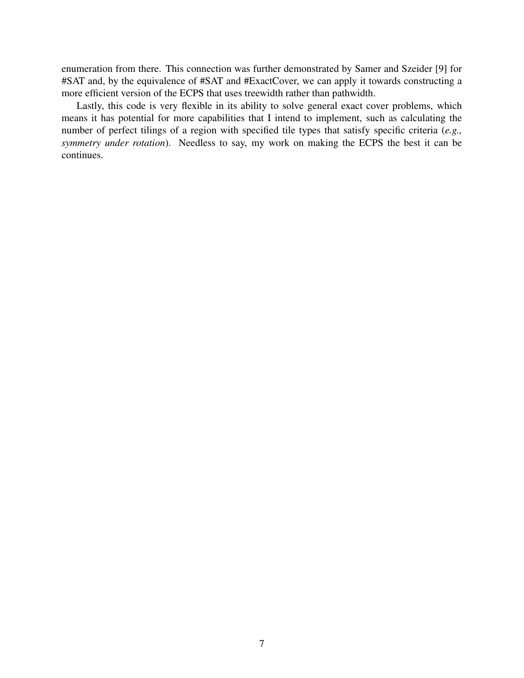enumeration from there. This connection was further demonstrated by Samer and Szeider [9] for #SAT and, by the equivalence of #SAT and #ExactCover, we can apply it towards constructing a more efficient version of the ECPS that uses treewidth rather than pathwidth.

Lastly, this code is very flexible in its ability to solve general exact cover problems, which means it has potential for more capabilities that I intend to implement, such as calculating the number of perfect tilings of a region with specified tile types that satisfy specific criteria (*e.g., symmetry under rotation*). Needless to say, my work on making the ECPS the best it can be continues.